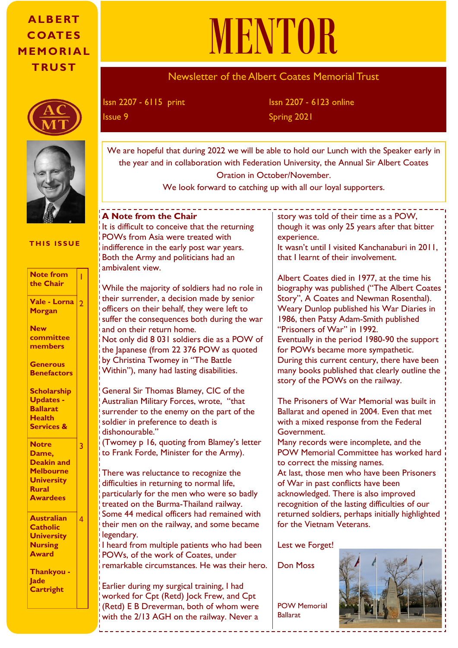# **A LB E RT C OAT ES M EMO RI A L T RU S T**





#### **THIS ISSUE**

| <b>Note from</b><br>the Chair                                                                                   |   |
|-----------------------------------------------------------------------------------------------------------------|---|
| Vale - Lorna<br>Morgan                                                                                          | 2 |
| <b>New</b><br>committee<br>members                                                                              |   |
| <b>Generous</b><br><b>Benefactors</b>                                                                           |   |
| <b>Scholarship</b><br><b>Updates -</b><br><b>Ballarat</b><br><b>Health</b><br><b>Services &amp;</b>             |   |
| <b>Notre</b><br>Dame,<br><b>Deakin and</b><br><b>Melbourne</b><br><b>University</b><br>Rural<br><b>Awardees</b> | 3 |
| <b>Australian</b><br><b>Catholic</b><br><b>University</b><br><b>Nursing</b><br><b>Award</b>                     | Δ |

**Thankyou - Jade Cartright**

# MENTOR

# Newsletter of the Albert Coates Memorial Trust

Issn 2207 - 6115 print

Issn 2207 - 6123 online Issue 9 Spring 2021

We are hopeful that during 2022 we will be able to hold our Lunch with the Speaker early in the year and in collaboration with Federation University, the Annual Sir Albert Coates Oration in October/November.

We look forward to catching up with all our loyal supporters.

#### **A Note from the Chair**

It is difficult to conceive that the returning POWs from Asia were treated with indifference in the early post war years. Both the Army and politicians had an ambivalent view.

While the majority of soldiers had no role in their surrender, a decision made by senior officers on their behalf, they were left to suffer the consequences both during the war and on their return home. Not only did 8 031 soldiers die as a POW of

the Japanese (from 22 376 POW as quoted by Christina Twomey in "The Battle Within"), many had lasting disabilities.

General Sir Thomas Blamey, CIC of the Australian Military Forces, wrote, "that surrender to the enemy on the part of the soldier in preference to death is dishonourable."

(Twomey p 16, quoting from Blamey's letter to Frank Forde, Minister for the Army).

Anthony Howard with There was reluctance to recognize the difficulties in returning to normal life, particularly for the men who were so badly treated on the Burma-Thailand railway. Some 44 medical officers had remained with their men on the railway, and some became legendary.

following the  $\vert$ Presentation I heard from multiple patients who had been POWs, of the work of Coates, under remarkable circumstances. He was their hero.

worked for  $\mathsf{Cpt}\left(\mathsf{Retd}\right)$  Jock Frew, and  $\mathsf{Cpt}$ [sites/default/files/2019-11/](http://www.governor.vic.gov.au/sites/default/files/2019-11/Sir%20Albert%20Coates%202019%20Oration_0.pdf) Earlier during my surgical training, I had (Retd) E B Dreverman, both of whom were with the 2/13 AGH on the railway. Never a

story was told of their time as a POW, though it was only 25 years after that bitter experience. It wasn't until I visited Kanchanaburi in 2011, that I learnt of their involvement.

Albert Coates died in 1977, at the time his biography was published ("The Albert Coates Story", A Coates and Newman Rosenthal). Weary Dunlop published his War Diaries in 1986, then Patsy Adam-Smith published "Prisoners of War" in 1992. Eventually in the period 1980-90 the support for POWs became more sympathetic. During this current century, there have been many books published that clearly outline the story of the POWs on the railway.

The Prisoners of War Memorial was built in Ballarat and opened in 2004. Even that met with a mixed response from the Federal Government.

assessment of the lasting difficulties of our<br>
recognition of the lasting difficulties of our<br>
returned soldiers, perhaps initially highlights ed with  $\parallel$  returned soldiers, perhaps initially highlighted  $\alpha$  pecame  $\alpha$  for the Vietnam Veterans. Many records were incomplete, and the POW Memorial Committee has worked hard to correct the missing names. At last, those men who have been Prisoners of War in past conflicts have been acknowledged. There is also improved

ad been  $\quad \vert$  Lest we Forget!

 $neir$  hero.  $\vert$  Don Moss

n were POW Memorial Jever a Ballarat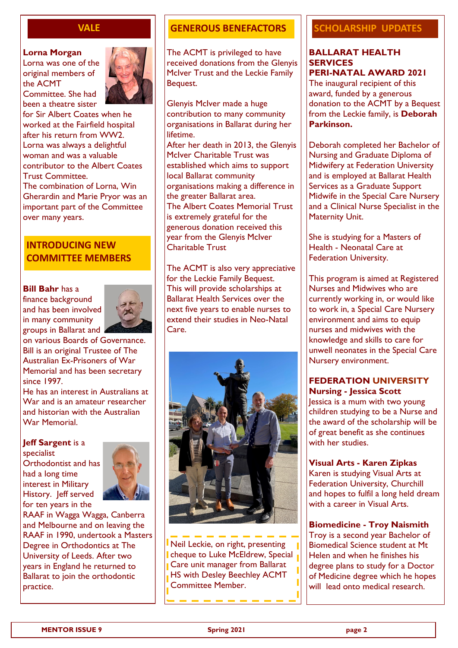#### **VALE**

#### **Lorna Morgan**

Lorna was one of the original members of the ACMT





for Sir Albert Coates when he worked at the Fairfield hospital after his return from WW2. Lorna was always a delightful woman and was a valuable contributor to the Albert Coates Trust Committee.

The combination of Lorna, Win Gherardin and Marie Pryor was an important part of the Committee over many years.

## **INTRODUCING NEW COMMITTEE MEMBERS**

#### **Bill Bahr** has a

finance background and has been involved in many community groups in Ballarat and



on various Boards of Governance. Bill is an original Trustee of The Australian Ex-Prisoners of War Memorial and has been secretary since 1997.

He has an interest in Australians at War and is an amateur researcher and historian with the Australian War Memorial.

#### **Jeff Sargent** is a

specialist Orthodontist and has had a long time interest in Military History. Jeff served for ten years in the



RAAF in Wagga Wagga, Canberra and Melbourne and on leaving the RAAF in 1990, undertook a Masters Degree in Orthodontics at The University of Leeds. After two years in England he returned to Ballarat to join the orthodontic practice.

## **GENEROUS BENEFACTORS**

The ACMT is privileged to have received donations from the Glenyis McIver Trust and the Leckie Family Bequest.

Glenyis McIver made a huge contribution to many community organisations in Ballarat during her lifetime. After her death in 2013, the Glenyis McIver Charitable Trust was established which aims to support local Ballarat community organisations making a difference in the greater Ballarat area. The Albert Coates Memorial Trust is extremely grateful for the generous donation received this year from the Glenyis McIver Charitable Trust

The ACMT is also very appreciative for the Leckie Family Bequest. This will provide scholarships at Ballarat Health Services over the next five years to enable nurses to extend their studies in Neo-Natal Care.



Neil Leckie, on right, presenting cheque to Luke McEldrew, Special **Care unit manager from Ballarat** HS with Desley Beechley ACMT Committee Member.

## **SCHOLARSHIP UPDATES**

#### **BALLARAT HEALTH SERVICES PERI-NATAL AWARD 2021**

The inaugural recipient of this award, funded by a generous donation to the ACMT by a Bequest from the Leckie family, is **Deborah Parkinson.**

Deborah completed her Bachelor of Nursing and Graduate Diploma of Midwifery at Federation University and is employed at Ballarat Health Services as a Graduate Support Midwife in the Special Care Nursery and a Clinical Nurse Specialist in the Maternity Unit.

She is studying for a Masters of Health - Neonatal Care at Federation University.

This program is aimed at Registered Nurses and Midwives who are currently working in, or would like to work in, a Special Care Nursery environment and aims to equip nurses and midwives with the knowledge and skills to care for unwell neonates in the Special Care Nursery environment.

#### **FEDERATION UNIVERSITY Nursing - Jessica Scott**

Jessica is a mum with two young children studying to be a Nurse and the award of the scholarship will be of great benefit as she continues with her studies.

#### **Visual Arts - Karen Zipkas**

Karen is studying Visual Arts at Federation University, Churchill and hopes to fulfil a long held dream with a career in Visual Arts.

#### **Biomedicine - Troy Naismith**

Troy is a second year Bachelor of Biomedical Science student at Mt Helen and when he finishes his degree plans to study for a Doctor of Medicine degree which he hopes will lead onto medical research.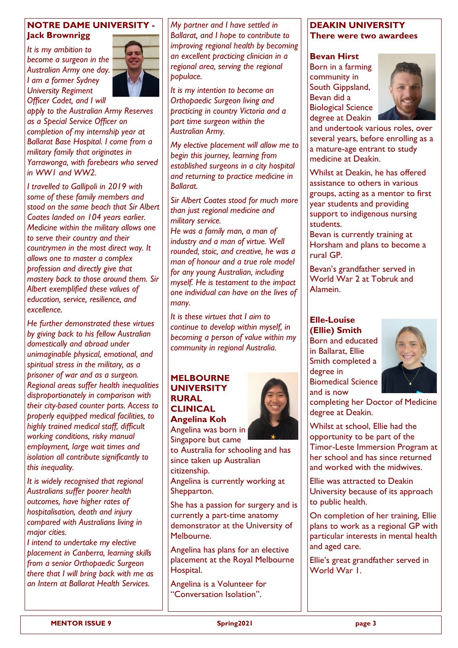#### **NOTRE DAME UNIVERSITY - Jack Brownrigg**

*It is my ambition to become a surgeon in the Australian Army one day. I am a former Sydney University Regiment Officer Cadet, and I will* 



*apply to the Australian Army Reserves as a Special Service Officer on completion of my internship year at Ballarat Base Hospital. I come from a military family that originates in Yarrawonga, with forebears who served in WW1 and WW2.* 

*I travelled to Gallipoli in 2019 with some of these family members and stood on the same beach that Sir Albert Coates landed on 104 years earlier. Medicine within the military allows one to serve their country and their countrymen in the most direct way. It allows one to master a complex profession and directly give that mastery back to those around them. Sir Albert exemplified these values of education, service, resilience, and excellence.* 

*He further demonstrated these virtues by giving back to his fellow Australian domestically and abroad under unimaginable physical, emotional, and spiritual stress in the military, as a prisoner of war and as a surgeon. Regional areas suffer health inequalities disproportionately in comparison with their city-based counter parts. Access to properly equipped medical facilities, to highly trained medical staff, difficult working conditions, risky manual employment, large wait times and isolation all contribute significantly to this inequality.* 

*It is widely recognised that regional Australians suffer poorer health outcomes, have higher rates of hospitalisation, death and injury compared with Australians living in major cities.* 

*I intend to undertake my elective placement in Canberra, learning skills from a senior Orthopaedic Surgeon there that I will bring back with me as an Intern at Ballarat Health Services.* 

*My partner and I have settled in Ballarat, and I hope to contribute to improving regional health by becoming an excellent practicing clinician in a regional area, serving the regional populace.* 

*It is my intention to become an Orthopaedic Surgeon living and practicing in country Victoria and a part time surgeon within the Australian Army.* 

*My elective placement will allow me to begin this journey, learning from established surgeons in a city hospital and returning to practice medicine in Ballarat.*

*Sir Albert Coates stood for much more than just regional medicine and military service. He was a family man, a man of industry and a man of virtue. Well rounded, stoic, and creative, he was a man of honour and a true role model for any young Australian, including myself. He is testament to the impact one individual can have on the lives of many.* 

*It is these virtues that I aim to continue to develop within myself, in becoming a person of value within my community in regional Australia.* 

#### **MELBOURNE UNIVERSITY RURAL CLINICAL Angelina Koh**

Angelina was born in Singapore but came

to Australia for schooling and has since taken up Australian citizenship.

Angelina is currently working at Shepparton.

She has a passion for surgery and is currently a part-time anatomy demonstrator at the University of Melbourne.

Angelina has plans for an elective placement at the Royal Melbourne Hospital.

Angelina is a Volunteer for "Conversation Isolation".



#### **Bevan Hirst**

Born in a farming community in South Gippsland, Bevan did a Biological Science degree at Deakin



and undertook various roles, over several years, before enrolling as a a mature-age entrant to study medicine at Deakin.

Whilst at Deakin, he has offered assistance to others in various groups, acting as a mentor to first year students and providing support to indigenous nursing students.

Bevan is currently training at Horsham and plans to become a rural GP.

Bevan's grandfather served in World War 2 at Tobruk and Alamein.

## **Elle-Louise**

**(Ellie) Smith** Born and educated in Ballarat, Ellie Smith completed a degree in Biomedical Science and is now



completing her Doctor of Medicine degree at Deakin.

Whilst at school, Ellie had the opportunity to be part of the Timor-Leste Immersion Program at her school and has since returned and worked with the midwives.

Ellie was attracted to Deakin University because of its approach to public health.

On completion of her training, Ellie plans to work as a regional GP with particular interests in mental health and aged care.

Ellie's great grandfather served in World War 1.